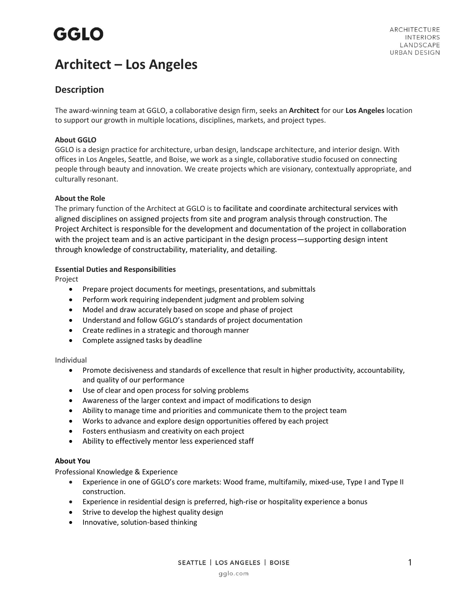# **GGLO**

### **Architect – Los Angeles**

### **Description**

The award-winning team at GGLO, a collaborative design firm, seeks an **Architect** for our **Los Angeles** location to support our growth in multiple locations, disciplines, markets, and project types.

#### **About GGLO**

GGLO is a design practice for architecture, urban design, landscape architecture, and interior design. With offices in Los Angeles, Seattle, and Boise, we work as a single, collaborative studio focused on connecting people through beauty and innovation. We create projects which are visionary, contextually appropriate, and culturally resonant.

#### **About the Role**

The primary function of the Architect at GGLO is to facilitate and coordinate architectural services with aligned disciplines on assigned projects from site and program analysis through construction. The Project Architect is responsible for the development and documentation of the project in collaboration with the project team and is an active participant in the design process—supporting design intent through knowledge of constructability, materiality, and detailing.

#### **Essential Duties and Responsibilities**

Project

- Prepare project documents for meetings, presentations, and submittals
- Perform work requiring independent judgment and problem solving
- Model and draw accurately based on scope and phase of project
- Understand and follow GGLO's standards of project documentation
- Create redlines in a strategic and thorough manner
- Complete assigned tasks by deadline

#### Individual

- Promote decisiveness and standards of excellence that result in higher productivity, accountability, and quality of our performance
- Use of clear and open process for solving problems
- Awareness of the larger context and impact of modifications to design
- Ability to manage time and priorities and communicate them to the project team
- Works to advance and explore design opportunities offered by each project
- Fosters enthusiasm and creativity on each project
- Ability to effectively mentor less experienced staff

#### **About You**

Professional Knowledge & Experience

- Experience in one of GGLO's core markets: Wood frame, multifamily, mixed-use, Type I and Type II construction.
- Experience in residential design is preferred, high-rise or hospitality experience a bonus
- Strive to develop the highest quality design
- Innovative, solution-based thinking